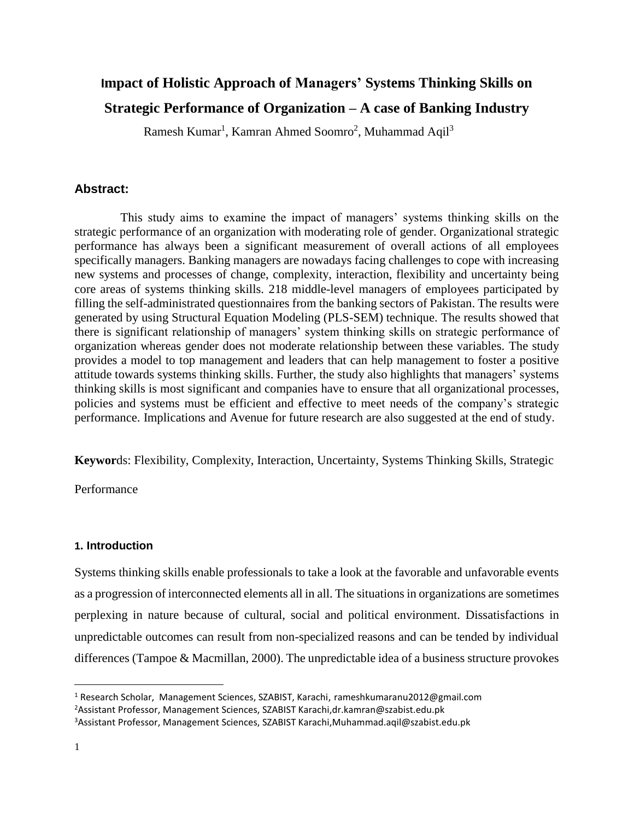# **Impact of Holistic Approach of Managers' Systems Thinking Skills on Strategic Performance of Organization – A case of Banking Industry**

Ramesh Kumar<sup>1</sup>, Kamran Ahmed Soomro<sup>2</sup>, Muhammad Aqil<sup>3</sup>

## **Abstract:**

 This study aims to examine the impact of managers' systems thinking skills on the strategic performance of an organization with moderating role of gender. Organizational strategic performance has always been a significant measurement of overall actions of all employees specifically managers. Banking managers are nowadays facing challenges to cope with increasing new systems and processes of change, complexity, interaction, flexibility and uncertainty being core areas of systems thinking skills. 218 middle-level managers of employees participated by filling the self-administrated questionnaires from the banking sectors of Pakistan. The results were generated by using Structural Equation Modeling (PLS-SEM) technique. The results showed that there is significant relationship of managers' system thinking skills on strategic performance of organization whereas gender does not moderate relationship between these variables. The study provides a model to top management and leaders that can help management to foster a positive attitude towards systems thinking skills. Further, the study also highlights that managers' systems thinking skills is most significant and companies have to ensure that all organizational processes, policies and systems must be efficient and effective to meet needs of the company's strategic performance. Implications and Avenue for future research are also suggested at the end of study.

**Keywor**ds: Flexibility, Complexity, Interaction, Uncertainty, Systems Thinking Skills, Strategic

Performance

# **1. Introduction**

Systems thinking skills enable professionals to take a look at the favorable and unfavorable events as a progression of interconnected elements all in all. The situations in organizations are sometimes perplexing in nature because of cultural, social and political environment. Dissatisfactions in unpredictable outcomes can result from non-specialized reasons and can be tended by individual differences (Tampoe & Macmillan, 2000). The unpredictable idea of a business structure provokes

 $\overline{a}$ 

<sup>&</sup>lt;sup>1</sup> Research Scholar, Management Sciences, SZABIST, Karachi, rameshkumaranu2012@gmail.com

<sup>2</sup>Assistant Professor, Management Sciences, SZABIST Karachi,dr.kamran@szabist.edu.pk

<sup>3</sup>Assistant Professor, Management Sciences, SZABIST Karachi,Muhammad.aqil@szabist.edu.pk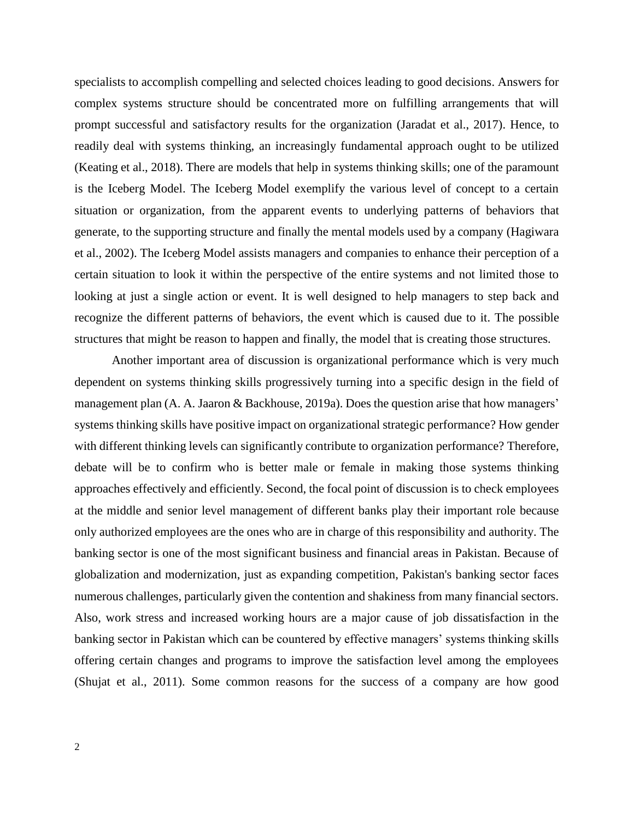specialists to accomplish compelling and selected choices leading to good decisions. Answers for complex systems structure should be concentrated more on fulfilling arrangements that will prompt successful and satisfactory results for the organization (Jaradat et al., 2017). Hence, to readily deal with systems thinking, an increasingly fundamental approach ought to be utilized (Keating et al., 2018). There are models that help in systems thinking skills; one of the paramount is the Iceberg Model. The Iceberg Model exemplify the various level of concept to a certain situation or organization, from the apparent events to underlying patterns of behaviors that generate, to the supporting structure and finally the mental models used by a company (Hagiwara et al., 2002). The Iceberg Model assists managers and companies to enhance their perception of a certain situation to look it within the perspective of the entire systems and not limited those to looking at just a single action or event. It is well designed to help managers to step back and recognize the different patterns of behaviors, the event which is caused due to it. The possible structures that might be reason to happen and finally, the model that is creating those structures.

Another important area of discussion is organizational performance which is very much dependent on systems thinking skills progressively turning into a specific design in the field of management plan (A. A. Jaaron & Backhouse, 2019a). Does the question arise that how managers' systems thinking skills have positive impact on organizational strategic performance? How gender with different thinking levels can significantly contribute to organization performance? Therefore, debate will be to confirm who is better male or female in making those systems thinking approaches effectively and efficiently. Second, the focal point of discussion is to check employees at the middle and senior level management of different banks play their important role because only authorized employees are the ones who are in charge of this responsibility and authority. The banking sector is one of the most significant business and financial areas in Pakistan. Because of globalization and modernization, just as expanding competition, Pakistan's banking sector faces numerous challenges, particularly given the contention and shakiness from many financial sectors. Also, work stress and increased working hours are a major cause of job dissatisfaction in the banking sector in Pakistan which can be countered by effective managers' systems thinking skills offering certain changes and programs to improve the satisfaction level among the employees (Shujat et al., 2011). Some common reasons for the success of a company are how good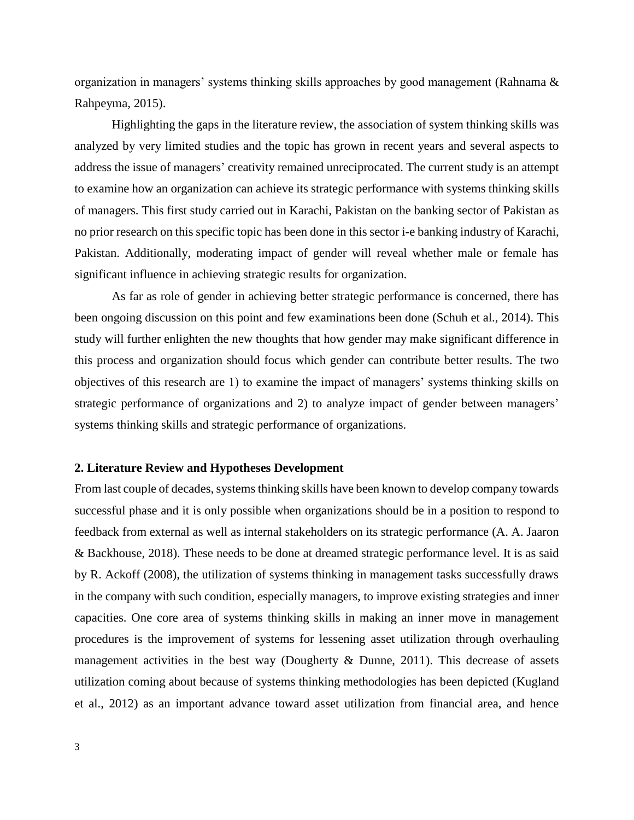organization in managers' systems thinking skills approaches by good management (Rahnama & Rahpeyma, 2015).

Highlighting the gaps in the literature review, the association of system thinking skills was analyzed by very limited studies and the topic has grown in recent years and several aspects to address the issue of managers' creativity remained unreciprocated. The current study is an attempt to examine how an organization can achieve its strategic performance with systems thinking skills of managers. This first study carried out in Karachi, Pakistan on the banking sector of Pakistan as no prior research on this specific topic has been done in this sector i-e banking industry of Karachi, Pakistan. Additionally, moderating impact of gender will reveal whether male or female has significant influence in achieving strategic results for organization.

As far as role of gender in achieving better strategic performance is concerned, there has been ongoing discussion on this point and few examinations been done (Schuh et al., 2014). This study will further enlighten the new thoughts that how gender may make significant difference in this process and organization should focus which gender can contribute better results. The two objectives of this research are 1) to examine the impact of managers' systems thinking skills on strategic performance of organizations and 2) to analyze impact of gender between managers' systems thinking skills and strategic performance of organizations.

#### **2. Literature Review and Hypotheses Development**

From last couple of decades, systems thinking skills have been known to develop company towards successful phase and it is only possible when organizations should be in a position to respond to feedback from external as well as internal stakeholders on its strategic performance (A. A. Jaaron & Backhouse, 2018). These needs to be done at dreamed strategic performance level. It is as said by R. Ackoff (2008), the utilization of systems thinking in management tasks successfully draws in the company with such condition, especially managers, to improve existing strategies and inner capacities. One core area of systems thinking skills in making an inner move in management procedures is the improvement of systems for lessening asset utilization through overhauling management activities in the best way (Dougherty & Dunne, 2011). This decrease of assets utilization coming about because of systems thinking methodologies has been depicted (Kugland et al., 2012) as an important advance toward asset utilization from financial area, and hence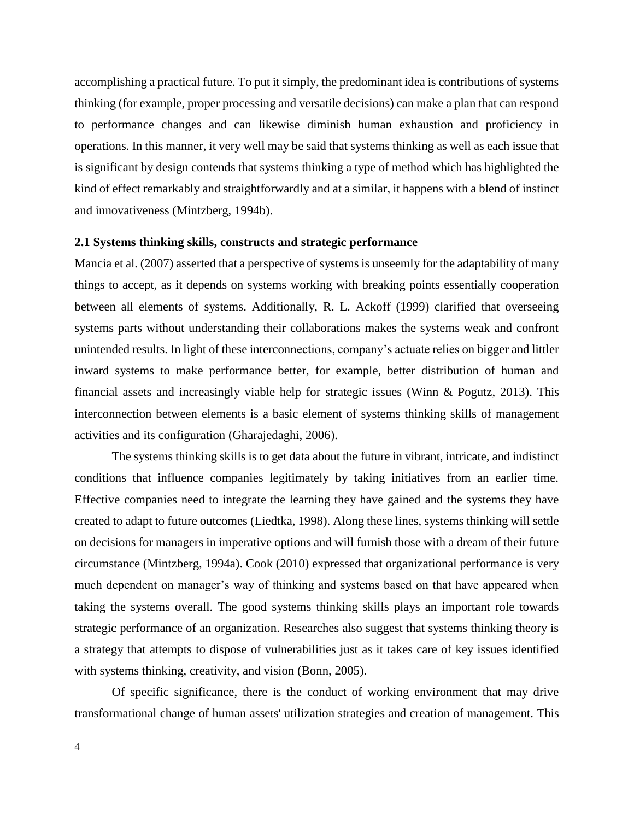accomplishing a practical future. To put it simply, the predominant idea is contributions of systems thinking (for example, proper processing and versatile decisions) can make a plan that can respond to performance changes and can likewise diminish human exhaustion and proficiency in operations. In this manner, it very well may be said that systems thinking as well as each issue that is significant by design contends that systems thinking a type of method which has highlighted the kind of effect remarkably and straightforwardly and at a similar, it happens with a blend of instinct and innovativeness (Mintzberg, 1994b).

#### **2.1 Systems thinking skills, constructs and strategic performance**

Mancia et al. (2007) asserted that a perspective of systems is unseemly for the adaptability of many things to accept, as it depends on systems working with breaking points essentially cooperation between all elements of systems. Additionally, R. L. Ackoff (1999) clarified that overseeing systems parts without understanding their collaborations makes the systems weak and confront unintended results. In light of these interconnections, company's actuate relies on bigger and littler inward systems to make performance better, for example, better distribution of human and financial assets and increasingly viable help for strategic issues (Winn & Pogutz, 2013). This interconnection between elements is a basic element of systems thinking skills of management activities and its configuration (Gharajedaghi, 2006).

The systems thinking skills is to get data about the future in vibrant, intricate, and indistinct conditions that influence companies legitimately by taking initiatives from an earlier time. Effective companies need to integrate the learning they have gained and the systems they have created to adapt to future outcomes (Liedtka, 1998). Along these lines, systems thinking will settle on decisions for managers in imperative options and will furnish those with a dream of their future circumstance (Mintzberg, 1994a). Cook (2010) expressed that organizational performance is very much dependent on manager's way of thinking and systems based on that have appeared when taking the systems overall. The good systems thinking skills plays an important role towards strategic performance of an organization. Researches also suggest that systems thinking theory is a strategy that attempts to dispose of vulnerabilities just as it takes care of key issues identified with systems thinking, creativity, and vision (Bonn, 2005).

Of specific significance, there is the conduct of working environment that may drive transformational change of human assets' utilization strategies and creation of management. This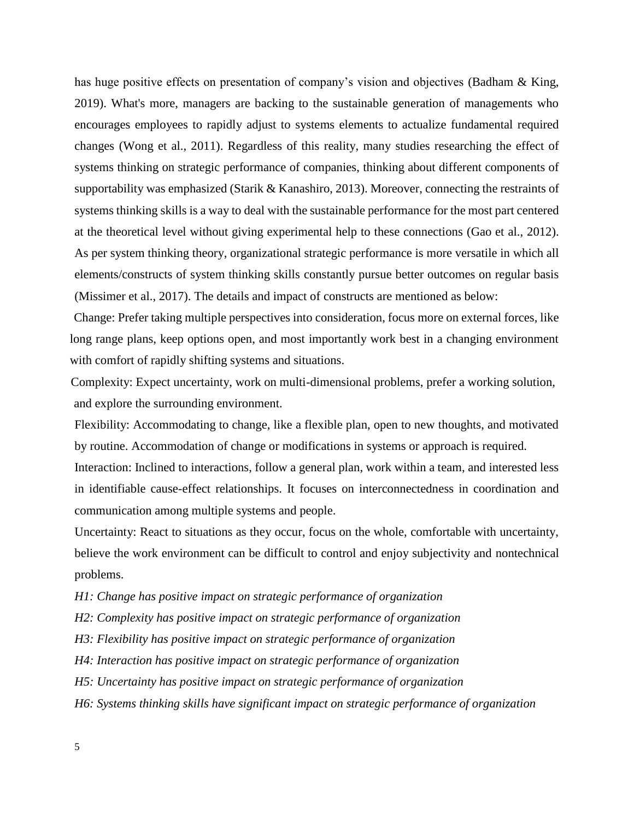has huge positive effects on presentation of company's vision and objectives (Badham & King, 2019). What's more, managers are backing to the sustainable generation of managements who encourages employees to rapidly adjust to systems elements to actualize fundamental required changes (Wong et al., 2011). Regardless of this reality, many studies researching the effect of systems thinking on strategic performance of companies, thinking about different components of supportability was emphasized (Starik & Kanashiro, 2013). Moreover, connecting the restraints of systems thinking skills is a way to deal with the sustainable performance for the most part centered at the theoretical level without giving experimental help to these connections (Gao et al., 2012). As per system thinking theory, organizational strategic performance is more versatile in which all elements/constructs of system thinking skills constantly pursue better outcomes on regular basis (Missimer et al., 2017). The details and impact of constructs are mentioned as below:

Change: Prefer taking multiple perspectives into consideration, focus more on external forces, like long range plans, keep options open, and most importantly work best in a changing environment with comfort of rapidly shifting systems and situations.

Complexity: Expect uncertainty, work on multi-dimensional problems, prefer a working solution, and explore the surrounding environment.

Flexibility: Accommodating to change, like a flexible plan, open to new thoughts, and motivated by routine. Accommodation of change or modifications in systems or approach is required.

Interaction: Inclined to interactions, follow a general plan, work within a team, and interested less in identifiable cause-effect relationships. It focuses on interconnectedness in coordination and communication among multiple systems and people.

Uncertainty: React to situations as they occur, focus on the whole, comfortable with uncertainty, believe the work environment can be difficult to control and enjoy subjectivity and nontechnical problems.

*H1: Change has positive impact on strategic performance of organization*

*H2: Complexity has positive impact on strategic performance of organization*

*H3: Flexibility has positive impact on strategic performance of organization*

*H4: Interaction has positive impact on strategic performance of organization*

*H5: Uncertainty has positive impact on strategic performance of organization*

*H6: Systems thinking skills have significant impact on strategic performance of organization*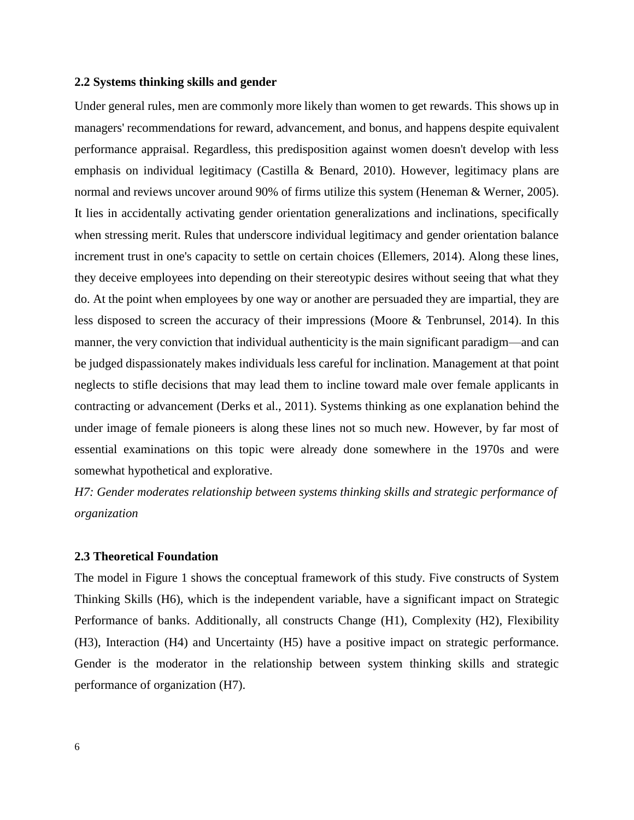### **2.2 Systems thinking skills and gender**

Under general rules, men are commonly more likely than women to get rewards. This shows up in managers' recommendations for reward, advancement, and bonus, and happens despite equivalent performance appraisal. Regardless, this predisposition against women doesn't develop with less emphasis on individual legitimacy (Castilla & Benard, 2010). However, legitimacy plans are normal and reviews uncover around 90% of firms utilize this system (Heneman & Werner, 2005). It lies in accidentally activating gender orientation generalizations and inclinations, specifically when stressing merit. Rules that underscore individual legitimacy and gender orientation balance increment trust in one's capacity to settle on certain choices (Ellemers, 2014). Along these lines, they deceive employees into depending on their stereotypic desires without seeing that what they do. At the point when employees by one way or another are persuaded they are impartial, they are less disposed to screen the accuracy of their impressions (Moore & Tenbrunsel, 2014). In this manner, the very conviction that individual authenticity is the main significant paradigm—and can be judged dispassionately makes individuals less careful for inclination. Management at that point neglects to stifle decisions that may lead them to incline toward male over female applicants in contracting or advancement (Derks et al., 2011). Systems thinking as one explanation behind the under image of female pioneers is along these lines not so much new. However, by far most of essential examinations on this topic were already done somewhere in the 1970s and were somewhat hypothetical and explorative.

*H7: Gender moderates relationship between systems thinking skills and strategic performance of organization*

#### **2.3 Theoretical Foundation**

The model in Figure 1 shows the conceptual framework of this study. Five constructs of System Thinking Skills (H6), which is the independent variable, have a significant impact on Strategic Performance of banks. Additionally, all constructs Change (H1), Complexity (H2), Flexibility (H3), Interaction (H4) and Uncertainty (H5) have a positive impact on strategic performance. Gender is the moderator in the relationship between system thinking skills and strategic performance of organization (H7).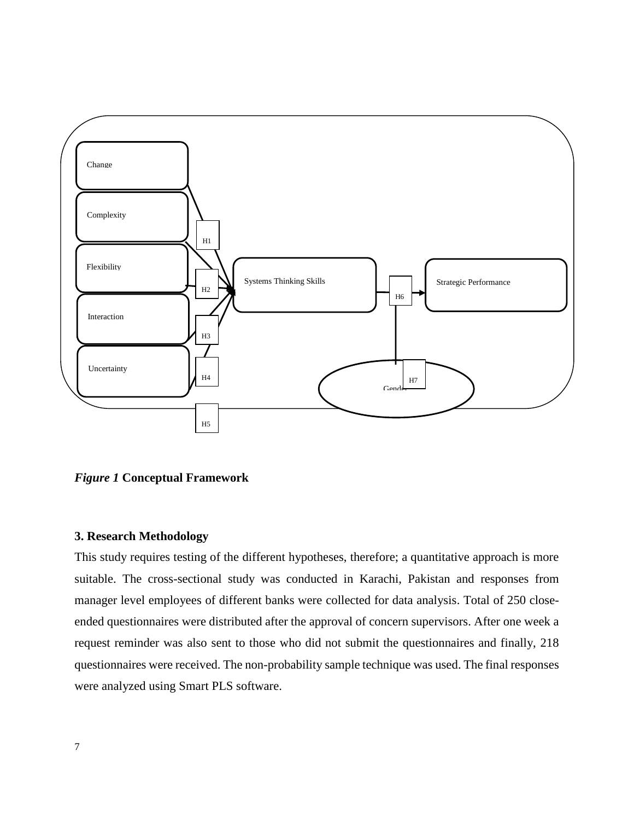

*Figure 1* **Conceptual Framework**

# **3. Research Methodology**

This study requires testing of the different hypotheses, therefore; a quantitative approach is more suitable. The cross-sectional study was conducted in Karachi, Pakistan and responses from manager level employees of different banks were collected for data analysis. Total of 250 closeended questionnaires were distributed after the approval of concern supervisors. After one week a request reminder was also sent to those who did not submit the questionnaires and finally, 218 questionnaires were received. The non-probability sample technique was used. The final responses were analyzed using Smart PLS software.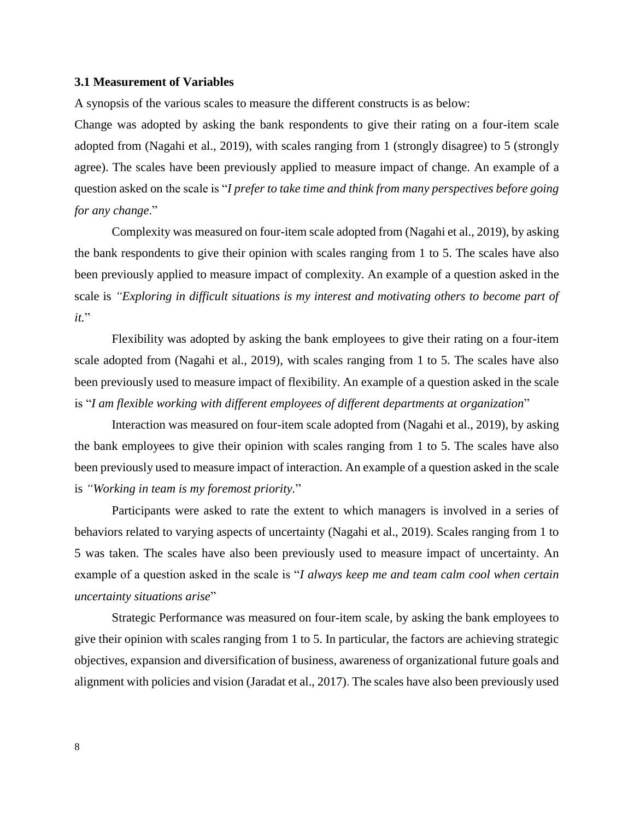## **3.1 Measurement of Variables**

A synopsis of the various scales to measure the different constructs is as below:

Change was adopted by asking the bank respondents to give their rating on a four-item scale adopted from (Nagahi et al., 2019), with scales ranging from 1 (strongly disagree) to 5 (strongly agree). The scales have been previously applied to measure impact of change. An example of a question asked on the scale is "*I prefer to take time and think from many perspectives before going for any change*."

Complexity was measured on four-item scale adopted from (Nagahi et al., 2019), by asking the bank respondents to give their opinion with scales ranging from 1 to 5. The scales have also been previously applied to measure impact of complexity. An example of a question asked in the scale is *"Exploring in difficult situations is my interest and motivating others to become part of it.*"

Flexibility was adopted by asking the bank employees to give their rating on a four-item scale adopted from (Nagahi et al., 2019), with scales ranging from 1 to 5. The scales have also been previously used to measure impact of flexibility. An example of a question asked in the scale is "*I am flexible working with different employees of different departments at organization*"

Interaction was measured on four-item scale adopted from (Nagahi et al., 2019), by asking the bank employees to give their opinion with scales ranging from 1 to 5. The scales have also been previously used to measure impact of interaction. An example of a question asked in the scale is *"Working in team is my foremost priority.*"

Participants were asked to rate the extent to which managers is involved in a series of behaviors related to varying aspects of uncertainty (Nagahi et al., 2019). Scales ranging from 1 to 5 was taken. The scales have also been previously used to measure impact of uncertainty. An example of a question asked in the scale is "*I always keep me and team calm cool when certain uncertainty situations arise*"

Strategic Performance was measured on four-item scale, by asking the bank employees to give their opinion with scales ranging from 1 to 5. In particular, the factors are achieving strategic objectives, expansion and diversification of business, awareness of organizational future goals and alignment with policies and vision (Jaradat et al., 2017). The scales have also been previously used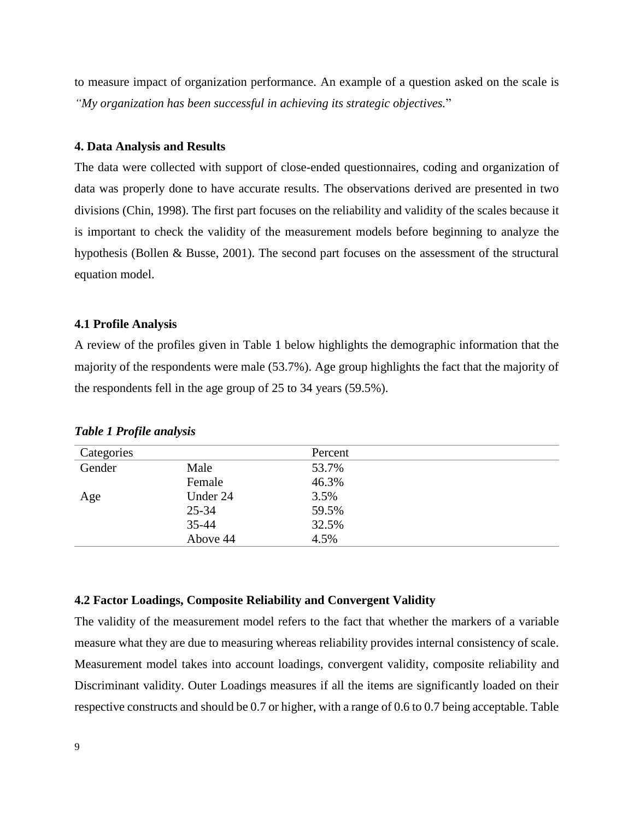to measure impact of organization performance. An example of a question asked on the scale is *"My organization has been successful in achieving its strategic objectives.*"

# **4. Data Analysis and Results**

The data were collected with support of close-ended questionnaires, coding and organization of data was properly done to have accurate results. The observations derived are presented in two divisions (Chin, 1998). The first part focuses on the reliability and validity of the scales because it is important to check the validity of the measurement models before beginning to analyze the hypothesis (Bollen & Busse, 2001). The second part focuses on the assessment of the structural equation model.

# **4.1 Profile Analysis**

A review of the profiles given in Table 1 below highlights the demographic information that the majority of the respondents were male (53.7%). Age group highlights the fact that the majority of the respondents fell in the age group of 25 to 34 years (59.5%).

| Categories |           | Percent |  |
|------------|-----------|---------|--|
| Gender     | Male      | 53.7%   |  |
|            | Female    | 46.3%   |  |
| Age        | Under 24  | 3.5%    |  |
|            | $25 - 34$ | 59.5%   |  |
|            | $35 - 44$ | 32.5%   |  |
|            | Above 44  | 4.5%    |  |

*Table 1 Profile analysis*

# **4.2 Factor Loadings, Composite Reliability and Convergent Validity**

The validity of the measurement model refers to the fact that whether the markers of a variable measure what they are due to measuring whereas reliability provides internal consistency of scale. Measurement model takes into account loadings, convergent validity, composite reliability and Discriminant validity. Outer Loadings measures if all the items are significantly loaded on their respective constructs and should be 0.7 or higher, with a range of 0.6 to 0.7 being acceptable. Table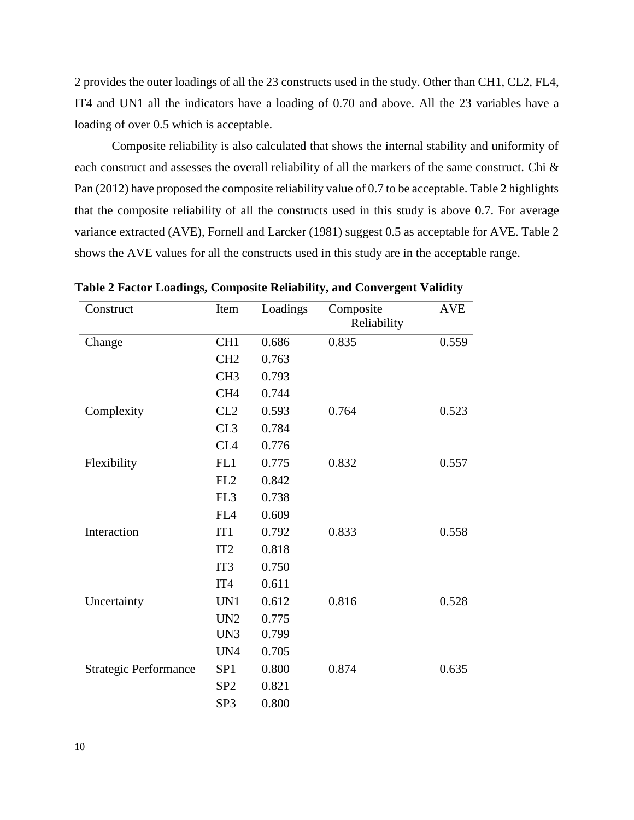2 provides the outer loadings of all the 23 constructs used in the study. Other than CH1, CL2, FL4, IT4 and UN1 all the indicators have a loading of 0.70 and above. All the 23 variables have a loading of over 0.5 which is acceptable.

Composite reliability is also calculated that shows the internal stability and uniformity of each construct and assesses the overall reliability of all the markers of the same construct. Chi & Pan (2012) have proposed the composite reliability value of 0.7 to be acceptable. Table 2 highlights that the composite reliability of all the constructs used in this study is above 0.7. For average variance extracted (AVE), Fornell and Larcker (1981) suggest 0.5 as acceptable for AVE. Table 2 shows the AVE values for all the constructs used in this study are in the acceptable range.

| Construct                    | Item            | Loadings | Composite<br>Reliability | <b>AVE</b> |
|------------------------------|-----------------|----------|--------------------------|------------|
| Change                       | CH <sub>1</sub> | 0.686    | 0.835                    | 0.559      |
|                              | CH <sub>2</sub> | 0.763    |                          |            |
|                              | CH <sub>3</sub> | 0.793    |                          |            |
|                              | CH <sub>4</sub> | 0.744    |                          |            |
| Complexity                   | CL2             | 0.593    | 0.764                    | 0.523      |
|                              | CL3             | 0.784    |                          |            |
|                              | CL <sub>4</sub> | 0.776    |                          |            |
| Flexibility                  | FL1             | 0.775    | 0.832                    | 0.557      |
|                              | FL <sub>2</sub> | 0.842    |                          |            |
|                              | FL3             | 0.738    |                          |            |
|                              | FL <sub>4</sub> | 0.609    |                          |            |
| Interaction                  | IT1             | 0.792    | 0.833                    | 0.558      |
|                              | IT <sub>2</sub> | 0.818    |                          |            |
|                              | IT <sub>3</sub> | 0.750    |                          |            |
|                              | IT4             | 0.611    |                          |            |
| Uncertainty                  | UN1             | 0.612    | 0.816                    | 0.528      |
|                              | UN <sub>2</sub> | 0.775    |                          |            |
|                              | UN3             | 0.799    |                          |            |
|                              | UN4             | 0.705    |                          |            |
| <b>Strategic Performance</b> | SP <sub>1</sub> | 0.800    | 0.874                    | 0.635      |
|                              | SP <sub>2</sub> | 0.821    |                          |            |
|                              | SP <sub>3</sub> | 0.800    |                          |            |

**Table 2 Factor Loadings, Composite Reliability, and Convergent Validity**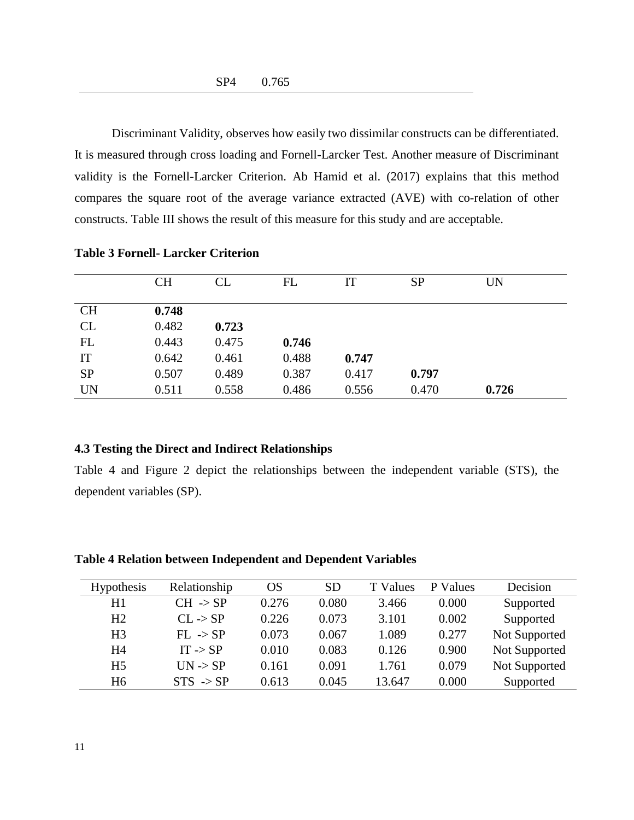Discriminant Validity, observes how easily two dissimilar constructs can be differentiated. It is measured through cross loading and Fornell-Larcker Test. Another measure of Discriminant validity is the Fornell-Larcker Criterion. Ab Hamid et al. (2017) explains that this method compares the square root of the average variance extracted (AVE) with co-relation of other constructs. Table III shows the result of this measure for this study and are acceptable.

|           | <b>CH</b> | CL    | FL    | IT    | <b>SP</b> | <b>UN</b> |
|-----------|-----------|-------|-------|-------|-----------|-----------|
| <b>CH</b> | 0.748     |       |       |       |           |           |
| CL        | 0.482     | 0.723 |       |       |           |           |
| FL        | 0.443     | 0.475 | 0.746 |       |           |           |
| IT        | 0.642     | 0.461 | 0.488 | 0.747 |           |           |
| <b>SP</b> | 0.507     | 0.489 | 0.387 | 0.417 | 0.797     |           |
| <b>UN</b> | 0.511     | 0.558 | 0.486 | 0.556 | 0.470     | 0.726     |

# **Table 3 Fornell- Larcker Criterion**

#### **4.3 Testing the Direct and Indirect Relationships**

Table 4 and Figure 2 depict the relationships between the independent variable (STS), the dependent variables (SP).

| <b>Table 4 Relation between Independent and Dependent Variables</b> |
|---------------------------------------------------------------------|
|---------------------------------------------------------------------|

| <b>Hypothesis</b> | Relationship         | OS    | SD.   | T Values | <b>Values</b><br>P. | Decision      |
|-------------------|----------------------|-------|-------|----------|---------------------|---------------|
| H1                | $CH \rightarrow SP$  | 0.276 | 0.080 | 3.466    | 0.000               | Supported     |
| H <sub>2</sub>    | $CL \rightarrow SP$  | 0.226 | 0.073 | 3.101    | 0.002               | Supported     |
| H <sub>3</sub>    | $FL \rightarrow SP$  | 0.073 | 0.067 | 1.089    | 0.277               | Not Supported |
| H4                | $IT \rightarrow SP$  | 0.010 | 0.083 | 0.126    | 0.900               | Not Supported |
| H <sub>5</sub>    | $UN \rightarrow SP$  | 0.161 | 0.091 | 1.761    | 0.079               | Not Supported |
| H <sub>6</sub>    | $STS \rightarrow SP$ | 0.613 | 0.045 | 13.647   | 0.000               | Supported     |
|                   |                      |       |       |          |                     |               |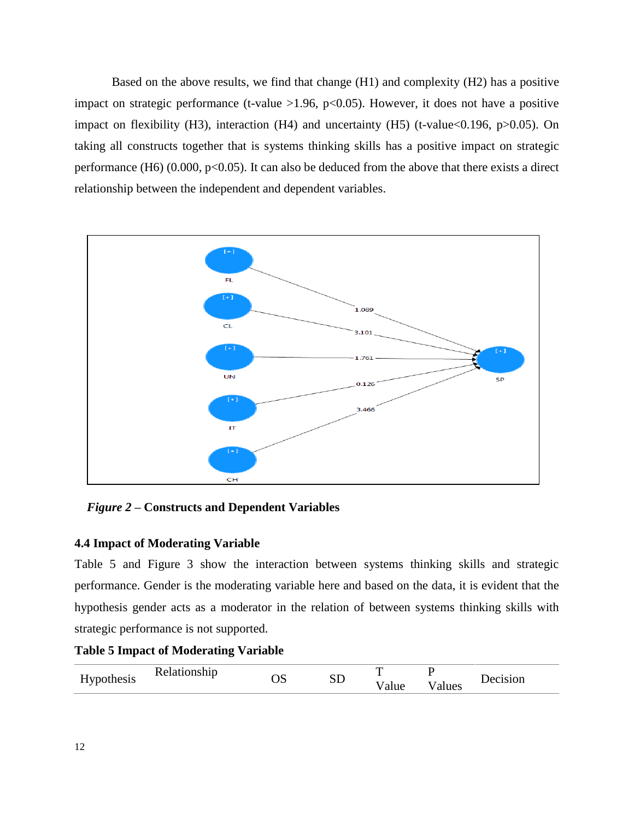Based on the above results, we find that change (H1) and complexity (H2) has a positive impact on strategic performance (t-value  $>1.96$ ,  $p<0.05$ ). However, it does not have a positive impact on flexibility (H3), interaction (H4) and uncertainty (H5) (t-value<0.196, p>0.05). On taking all constructs together that is systems thinking skills has a positive impact on strategic performance (H6)  $(0.000, p<0.05)$ . It can also be deduced from the above that there exists a direct relationship between the independent and dependent variables.



 *Figure 2 –* **Constructs and Dependent Variables**

# **4.4 Impact of Moderating Variable**

Table 5 and Figure 3 show the interaction between systems thinking skills and strategic performance. Gender is the moderating variable here and based on the data, it is evident that the hypothesis gender acts as a moderator in the relation of between systems thinking skills with strategic performance is not supported.

# **Table 5 Impact of Moderating Variable**

| Hypothesis | Pelationship<br>$\overline{\phantom{a}}$ | SD | - |       | Decision |
|------------|------------------------------------------|----|---|-------|----------|
|            |                                          |    |   | alues |          |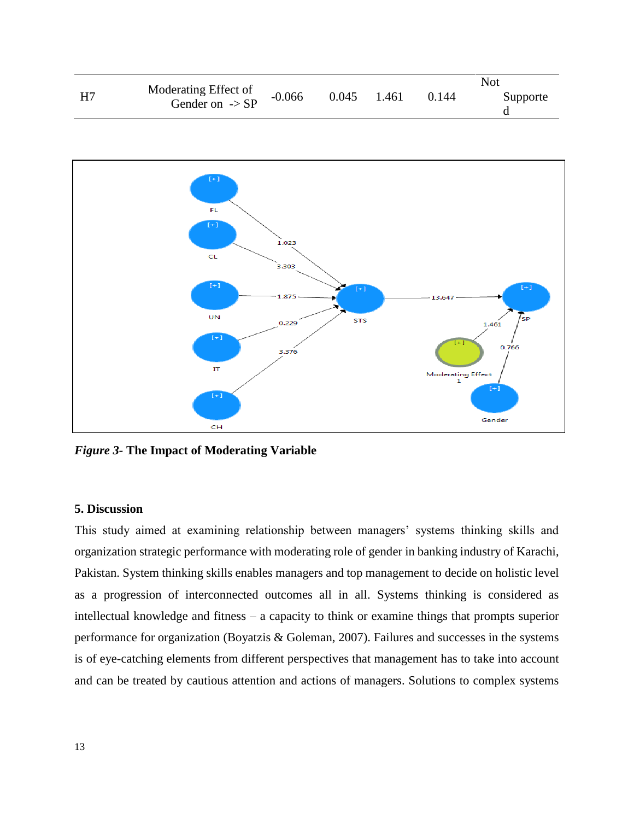|    |                                                    |          |       |       |       | Not      |
|----|----------------------------------------------------|----------|-------|-------|-------|----------|
| H7 | Moderating Effect of<br>Gender on $\rightarrow$ SP | $-0.066$ | 0.045 | 1.461 | 0.144 | Supporte |



*Figure 3-* **The Impact of Moderating Variable**

# **5. Discussion**

This study aimed at examining relationship between managers' systems thinking skills and organization strategic performance with moderating role of gender in banking industry of Karachi, Pakistan. System thinking skills enables managers and top management to decide on holistic level as a progression of interconnected outcomes all in all. Systems thinking is considered as intellectual knowledge and fitness – a capacity to think or examine things that prompts superior performance for organization (Boyatzis & Goleman, 2007). Failures and successes in the systems is of eye-catching elements from different perspectives that management has to take into account and can be treated by cautious attention and actions of managers. Solutions to complex systems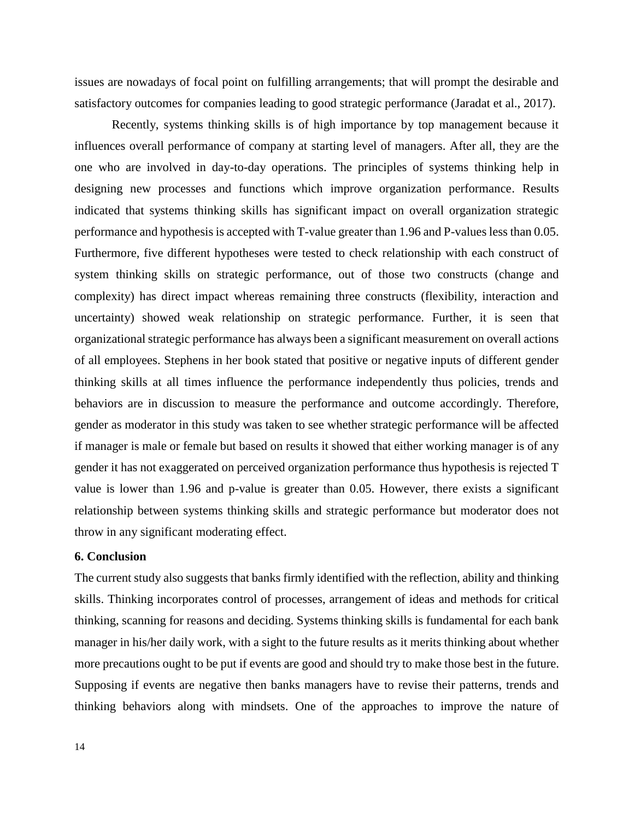issues are nowadays of focal point on fulfilling arrangements; that will prompt the desirable and satisfactory outcomes for companies leading to good strategic performance (Jaradat et al., 2017).

Recently, systems thinking skills is of high importance by top management because it influences overall performance of company at starting level of managers. After all, they are the one who are involved in day-to-day operations. The principles of systems thinking help in designing new processes and functions which improve organization performance. Results indicated that systems thinking skills has significant impact on overall organization strategic performance and hypothesis is accepted with T-value greater than 1.96 and P-values less than 0.05. Furthermore, five different hypotheses were tested to check relationship with each construct of system thinking skills on strategic performance, out of those two constructs (change and complexity) has direct impact whereas remaining three constructs (flexibility, interaction and uncertainty) showed weak relationship on strategic performance. Further, it is seen that organizational strategic performance has always been a significant measurement on overall actions of all employees. Stephens in her book stated that positive or negative inputs of different gender thinking skills at all times influence the performance independently thus policies, trends and behaviors are in discussion to measure the performance and outcome accordingly. Therefore, gender as moderator in this study was taken to see whether strategic performance will be affected if manager is male or female but based on results it showed that either working manager is of any gender it has not exaggerated on perceived organization performance thus hypothesis is rejected T value is lower than 1.96 and p-value is greater than 0.05. However, there exists a significant relationship between systems thinking skills and strategic performance but moderator does not throw in any significant moderating effect.

# **6. Conclusion**

The current study also suggests that banks firmly identified with the reflection, ability and thinking skills. Thinking incorporates control of processes, arrangement of ideas and methods for critical thinking, scanning for reasons and deciding. Systems thinking skills is fundamental for each bank manager in his/her daily work, with a sight to the future results as it merits thinking about whether more precautions ought to be put if events are good and should try to make those best in the future. Supposing if events are negative then banks managers have to revise their patterns, trends and thinking behaviors along with mindsets. One of the approaches to improve the nature of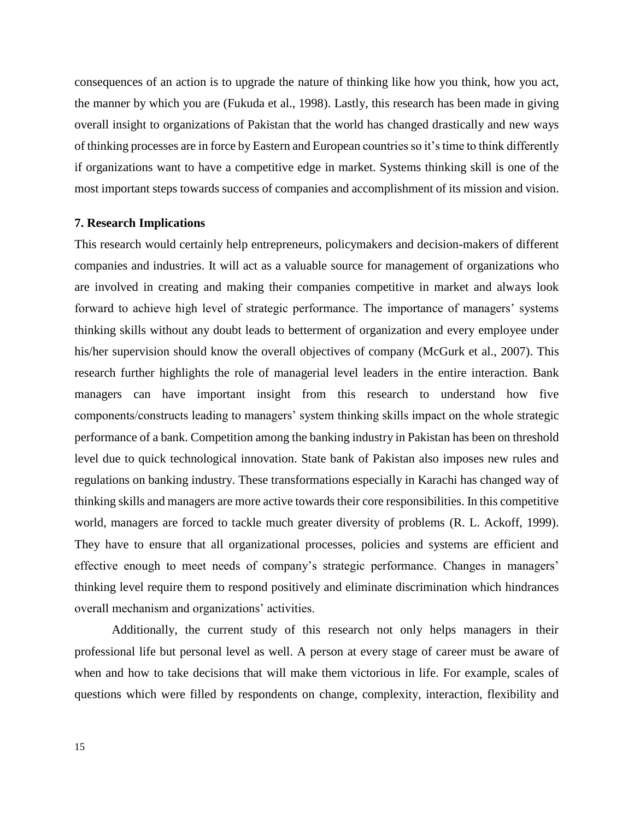consequences of an action is to upgrade the nature of thinking like how you think, how you act, the manner by which you are (Fukuda et al., 1998). Lastly, this research has been made in giving overall insight to organizations of Pakistan that the world has changed drastically and new ways of thinking processes are in force by Eastern and European countries so it's time to think differently if organizations want to have a competitive edge in market. Systems thinking skill is one of the most important steps towards success of companies and accomplishment of its mission and vision.

#### **7. Research Implications**

This research would certainly help entrepreneurs, policymakers and decision-makers of different companies and industries. It will act as a valuable source for management of organizations who are involved in creating and making their companies competitive in market and always look forward to achieve high level of strategic performance. The importance of managers' systems thinking skills without any doubt leads to betterment of organization and every employee under his/her supervision should know the overall objectives of company (McGurk et al., 2007). This research further highlights the role of managerial level leaders in the entire interaction. Bank managers can have important insight from this research to understand how five components/constructs leading to managers' system thinking skills impact on the whole strategic performance of a bank. Competition among the banking industry in Pakistan has been on threshold level due to quick technological innovation. State bank of Pakistan also imposes new rules and regulations on banking industry. These transformations especially in Karachi has changed way of thinking skills and managers are more active towards their core responsibilities. In this competitive world, managers are forced to tackle much greater diversity of problems (R. L. Ackoff, 1999). They have to ensure that all organizational processes, policies and systems are efficient and effective enough to meet needs of company's strategic performance. Changes in managers' thinking level require them to respond positively and eliminate discrimination which hindrances overall mechanism and organizations' activities.

Additionally, the current study of this research not only helps managers in their professional life but personal level as well. A person at every stage of career must be aware of when and how to take decisions that will make them victorious in life. For example, scales of questions which were filled by respondents on change, complexity, interaction, flexibility and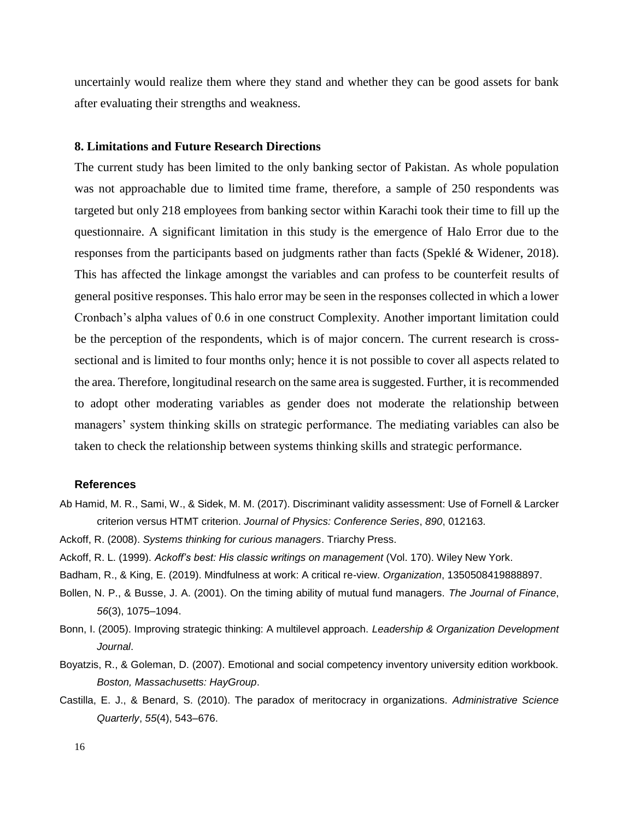uncertainly would realize them where they stand and whether they can be good assets for bank after evaluating their strengths and weakness.

#### **8. Limitations and Future Research Directions**

The current study has been limited to the only banking sector of Pakistan. As whole population was not approachable due to limited time frame, therefore, a sample of 250 respondents was targeted but only 218 employees from banking sector within Karachi took their time to fill up the questionnaire. A significant limitation in this study is the emergence of Halo Error due to the responses from the participants based on judgments rather than facts (Speklé & Widener, 2018). This has affected the linkage amongst the variables and can profess to be counterfeit results of general positive responses. This halo error may be seen in the responses collected in which a lower Cronbach's alpha values of 0.6 in one construct Complexity. Another important limitation could be the perception of the respondents, which is of major concern. The current research is crosssectional and is limited to four months only; hence it is not possible to cover all aspects related to the area. Therefore, longitudinal research on the same area is suggested. Further, it is recommended to adopt other moderating variables as gender does not moderate the relationship between managers' system thinking skills on strategic performance. The mediating variables can also be taken to check the relationship between systems thinking skills and strategic performance.

#### **References**

Ab Hamid, M. R., Sami, W., & Sidek, M. M. (2017). Discriminant validity assessment: Use of Fornell & Larcker criterion versus HTMT criterion. *Journal of Physics: Conference Series*, *890*, 012163.

Ackoff, R. (2008). *Systems thinking for curious managers*. Triarchy Press.

Ackoff, R. L. (1999). *Ackoff's best: His classic writings on management* (Vol. 170). Wiley New York.

Badham, R., & King, E. (2019). Mindfulness at work: A critical re-view. *Organization*, 1350508419888897.

- Bollen, N. P., & Busse, J. A. (2001). On the timing ability of mutual fund managers. *The Journal of Finance*, *56*(3), 1075–1094.
- Bonn, I. (2005). Improving strategic thinking: A multilevel approach. *Leadership & Organization Development Journal*.
- Boyatzis, R., & Goleman, D. (2007). Emotional and social competency inventory university edition workbook. *Boston, Massachusetts: HayGroup*.
- Castilla, E. J., & Benard, S. (2010). The paradox of meritocracy in organizations. *Administrative Science Quarterly*, *55*(4), 543–676.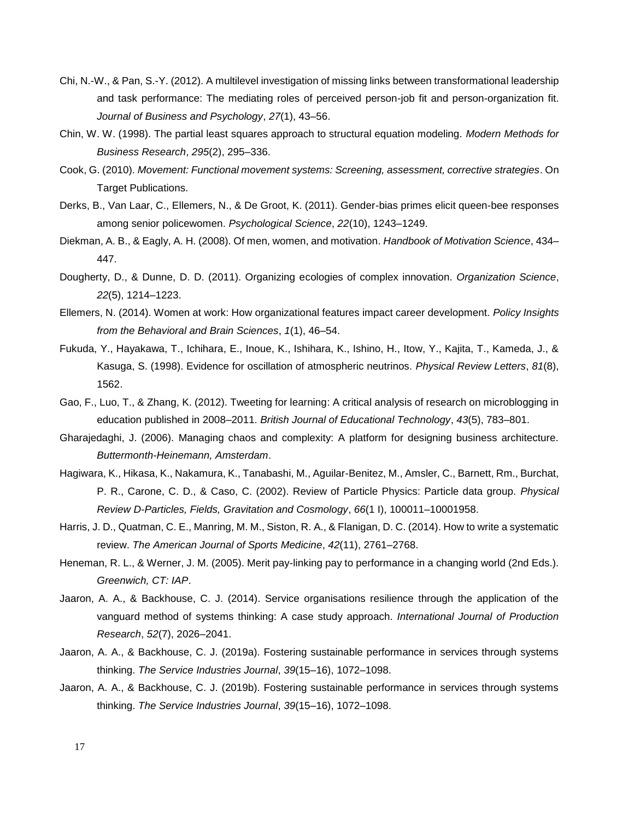- Chi, N.-W., & Pan, S.-Y. (2012). A multilevel investigation of missing links between transformational leadership and task performance: The mediating roles of perceived person-job fit and person-organization fit. *Journal of Business and Psychology*, *27*(1), 43–56.
- Chin, W. W. (1998). The partial least squares approach to structural equation modeling. *Modern Methods for Business Research*, *295*(2), 295–336.
- Cook, G. (2010). *Movement: Functional movement systems: Screening, assessment, corrective strategies*. On Target Publications.
- Derks, B., Van Laar, C., Ellemers, N., & De Groot, K. (2011). Gender-bias primes elicit queen-bee responses among senior policewomen. *Psychological Science*, *22*(10), 1243–1249.
- Diekman, A. B., & Eagly, A. H. (2008). Of men, women, and motivation. *Handbook of Motivation Science*, 434– 447.
- Dougherty, D., & Dunne, D. D. (2011). Organizing ecologies of complex innovation. *Organization Science*, *22*(5), 1214–1223.
- Ellemers, N. (2014). Women at work: How organizational features impact career development. *Policy Insights from the Behavioral and Brain Sciences*, *1*(1), 46–54.
- Fukuda, Y., Hayakawa, T., Ichihara, E., Inoue, K., Ishihara, K., Ishino, H., Itow, Y., Kajita, T., Kameda, J., & Kasuga, S. (1998). Evidence for oscillation of atmospheric neutrinos. *Physical Review Letters*, *81*(8), 1562.
- Gao, F., Luo, T., & Zhang, K. (2012). Tweeting for learning: A critical analysis of research on microblogging in education published in 2008–2011. *British Journal of Educational Technology*, *43*(5), 783–801.
- Gharajedaghi, J. (2006). Managing chaos and complexity: A platform for designing business architecture. *Buttermonth-Heinemann, Amsterdam*.
- Hagiwara, K., Hikasa, K., Nakamura, K., Tanabashi, M., Aguilar-Benitez, M., Amsler, C., Barnett, Rm., Burchat, P. R., Carone, C. D., & Caso, C. (2002). Review of Particle Physics: Particle data group. *Physical Review D-Particles, Fields, Gravitation and Cosmology*, *66*(1 I), 100011–10001958.
- Harris, J. D., Quatman, C. E., Manring, M. M., Siston, R. A., & Flanigan, D. C. (2014). How to write a systematic review. *The American Journal of Sports Medicine*, *42*(11), 2761–2768.
- Heneman, R. L., & Werner, J. M. (2005). Merit pay-linking pay to performance in a changing world (2nd Eds.). *Greenwich, CT: IAP*.
- Jaaron, A. A., & Backhouse, C. J. (2014). Service organisations resilience through the application of the vanguard method of systems thinking: A case study approach. *International Journal of Production Research*, *52*(7), 2026–2041.
- Jaaron, A. A., & Backhouse, C. J. (2019a). Fostering sustainable performance in services through systems thinking. *The Service Industries Journal*, *39*(15–16), 1072–1098.
- Jaaron, A. A., & Backhouse, C. J. (2019b). Fostering sustainable performance in services through systems thinking. *The Service Industries Journal*, *39*(15–16), 1072–1098.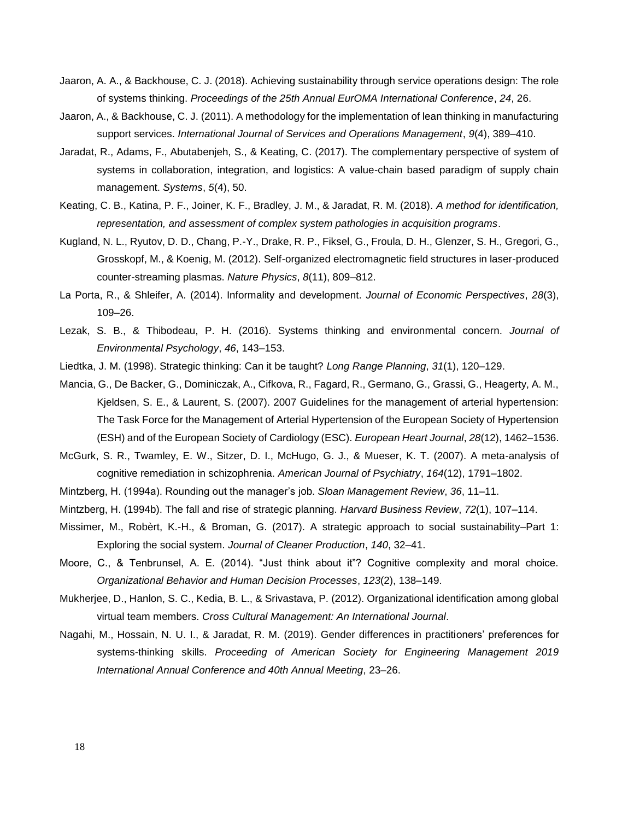- Jaaron, A. A., & Backhouse, C. J. (2018). Achieving sustainability through service operations design: The role of systems thinking. *Proceedings of the 25th Annual EurOMA International Conference*, *24*, 26.
- Jaaron, A., & Backhouse, C. J. (2011). A methodology for the implementation of lean thinking in manufacturing support services. *International Journal of Services and Operations Management*, *9*(4), 389–410.
- Jaradat, R., Adams, F., Abutabenjeh, S., & Keating, C. (2017). The complementary perspective of system of systems in collaboration, integration, and logistics: A value-chain based paradigm of supply chain management. *Systems*, *5*(4), 50.
- Keating, C. B., Katina, P. F., Joiner, K. F., Bradley, J. M., & Jaradat, R. M. (2018). *A method for identification, representation, and assessment of complex system pathologies in acquisition programs*.
- Kugland, N. L., Ryutov, D. D., Chang, P.-Y., Drake, R. P., Fiksel, G., Froula, D. H., Glenzer, S. H., Gregori, G., Grosskopf, M., & Koenig, M. (2012). Self-organized electromagnetic field structures in laser-produced counter-streaming plasmas. *Nature Physics*, *8*(11), 809–812.
- La Porta, R., & Shleifer, A. (2014). Informality and development. *Journal of Economic Perspectives*, *28*(3), 109–26.
- Lezak, S. B., & Thibodeau, P. H. (2016). Systems thinking and environmental concern. *Journal of Environmental Psychology*, *46*, 143–153.
- Liedtka, J. M. (1998). Strategic thinking: Can it be taught? *Long Range Planning*, *31*(1), 120–129.
- Mancia, G., De Backer, G., Dominiczak, A., Cifkova, R., Fagard, R., Germano, G., Grassi, G., Heagerty, A. M., Kjeldsen, S. E., & Laurent, S. (2007). 2007 Guidelines for the management of arterial hypertension: The Task Force for the Management of Arterial Hypertension of the European Society of Hypertension (ESH) and of the European Society of Cardiology (ESC). *European Heart Journal*, *28*(12), 1462–1536.
- McGurk, S. R., Twamley, E. W., Sitzer, D. I., McHugo, G. J., & Mueser, K. T. (2007). A meta-analysis of cognitive remediation in schizophrenia. *American Journal of Psychiatry*, *164*(12), 1791–1802.
- Mintzberg, H. (1994a). Rounding out the manager's job. *Sloan Management Review*, *36*, 11–11.
- Mintzberg, H. (1994b). The fall and rise of strategic planning. *Harvard Business Review*, *72*(1), 107–114.
- Missimer, M., Robèrt, K.-H., & Broman, G. (2017). A strategic approach to social sustainability–Part 1: Exploring the social system. *Journal of Cleaner Production*, *140*, 32–41.
- Moore, C., & Tenbrunsel, A. E. (2014). "Just think about it"? Cognitive complexity and moral choice. *Organizational Behavior and Human Decision Processes*, *123*(2), 138–149.
- Mukherjee, D., Hanlon, S. C., Kedia, B. L., & Srivastava, P. (2012). Organizational identification among global virtual team members. *Cross Cultural Management: An International Journal*.
- Nagahi, M., Hossain, N. U. I., & Jaradat, R. M. (2019). Gender differences in practitioners' preferences for systems-thinking skills. *Proceeding of American Society for Engineering Management 2019 International Annual Conference and 40th Annual Meeting*, 23–26.